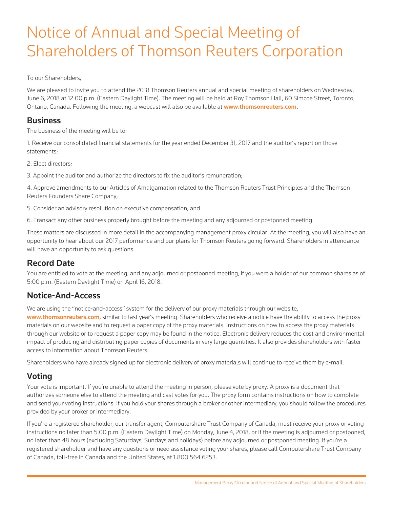# Notice of Annual and Special Meeting of Shareholders of Thomson Reuters Corporation

To our Shareholders,

We are pleased to invite you to attend the 2018 Thomson Reuters annual and special meeting of shareholders on Wednesday, June 6, 2018 at 12:00 p.m. (Eastern Daylight Time). The meeting will be held at Roy Thomson Hall, 60 Simcoe Street, Toronto, Ontario, Canada. Following the meeting, a webcast will also be available at www.thomsonreuters.com.

### **Business**

The business of the meeting will be to:

1. Receive our consolidated financial statements for the year ended December 31, 2017 and the auditor's report on those statements;

2. Elect directors;

3. Appoint the auditor and authorize the directors to fix the auditor's remuneration;

4. Approve amendments to our Articles of Amalgamation related to the Thomson Reuters Trust Principles and the Thomson Reuters Founders Share Company;

5. Consider an advisory resolution on executive compensation; and

6. Transact any other business properly brought before the meeting and any adjourned or postponed meeting.

These matters are discussed in more detail in the accompanying management proxy circular. At the meeting, you will also have an opportunity to hear about our 2017 performance and our plans for Thomson Reuters going forward. Shareholders in attendance will have an opportunity to ask questions.

## Record Date

You are entitled to vote at the meeting, and any adjourned or postponed meeting, if you were a holder of our common shares as of 5:00 p.m. (Eastern Daylight Time) on April 16, 2018.

## Notice-And-Access

We are using the "notice-and-access" system for the delivery of our proxy materials through our website,

www.thomsonreuters.com, similar to last year's meeting. Shareholders who receive a notice have the ability to access the proxy materials on our website and to request a paper copy of the proxy materials. Instructions on how to access the proxy materials through our website or to request a paper copy may be found in the notice. Electronic delivery reduces the cost and environmental impact of producing and distributing paper copies of documents in very large quantities. It also provides shareholders with faster access to information about Thomson Reuters.

Shareholders who have already signed up for electronic delivery of proxy materials will continue to receive them by e-mail.

## Voting

Your vote is important. If you're unable to attend the meeting in person, please vote by proxy. A proxy is a document that authorizes someone else to attend the meeting and cast votes for you. The proxy form contains instructions on how to complete and send your voting instructions. If you hold your shares through a broker or other intermediary, you should follow the procedures provided by your broker or intermediary.

If you're a registered shareholder, our transfer agent, Computershare Trust Company of Canada, must receive your proxy or voting instructions no later than 5:00 p.m. (Eastern Daylight Time) on Monday, June 4, 2018, or if the meeting is adjourned or postponed, no later than 48 hours (excluding Saturdays, Sundays and holidays) before any adjourned or postponed meeting. If you're a registered shareholder and have any questions or need assistance voting your shares, please call Computershare Trust Company of Canada, toll-free in Canada and the United States, at 1.800.564.6253.